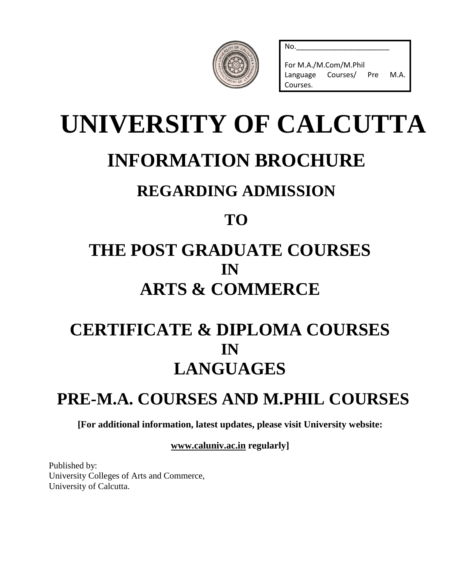| $\sim$<br>CALCUT<br>٠<br>E<br>NT O |  |
|------------------------------------|--|
|                                    |  |

For M.A./M.Com/M.Phil Language Courses/ Pre M.A. Courses.

No.\_\_\_\_\_\_\_\_\_\_\_\_\_\_\_\_\_\_\_\_\_\_\_

# **UNIVERSITY OF CALCUTTA INFORMATION BROCHURE REGARDING ADMISSION TO**

## **THE POST GRADUATE COURSES IN ARTS & COMMERCE**

## **CERTIFICATE & DIPLOMA COURSES IN LANGUAGES**

## **PRE-M.A. COURSES AND M.PHIL COURSES**

**[For additional information, latest updates, please visit University website:**

**[www.caluniv.ac.in](http://www.caluniv.ac.in/) regularly]**

Published by: University Colleges of Arts and Commerce, University of Calcutta.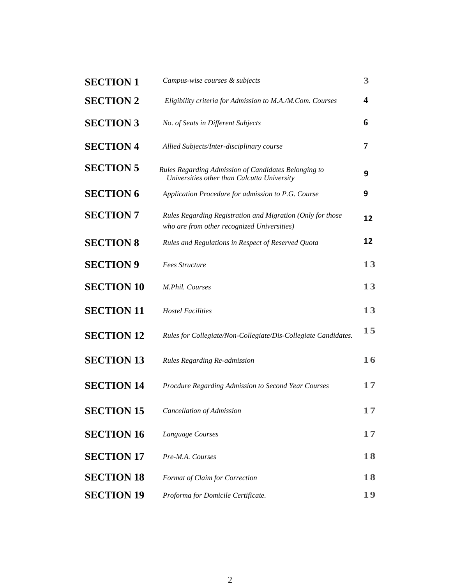| <b>SECTION 1</b>  | Campus-wise courses & subjects                                                                            | 3  |
|-------------------|-----------------------------------------------------------------------------------------------------------|----|
| <b>SECTION 2</b>  | Eligibility criteria for Admission to M.A./M.Com. Courses                                                 | 4  |
| <b>SECTION 3</b>  | No. of Seats in Different Subjects                                                                        | 6  |
| <b>SECTION 4</b>  | Allied Subjects/Inter-disciplinary course                                                                 | 7  |
| <b>SECTION 5</b>  | Rules Regarding Admission of Candidates Belonging to<br>Universities other than Calcutta University       | 9  |
| <b>SECTION 6</b>  | Application Procedure for admission to P.G. Course                                                        | 9  |
| <b>SECTION 7</b>  | Rules Regarding Registration and Migration (Only for those<br>who are from other recognized Universities) | 12 |
| <b>SECTION 8</b>  | Rules and Regulations in Respect of Reserved Quota                                                        | 12 |
| <b>SECTION 9</b>  | <b>Fees Structure</b>                                                                                     | 13 |
| <b>SECTION 10</b> | M.Phil. Courses                                                                                           | 13 |
| <b>SECTION 11</b> | <b>Hostel Facilities</b>                                                                                  | 13 |
| <b>SECTION 12</b> | Rules for Collegiate/Non-Collegiate/Dis-Collegiate Candidates.                                            | 15 |
| <b>SECTION 13</b> | Rules Regarding Re-admission                                                                              | 16 |
| <b>SECTION 14</b> | Procdure Regarding Admission to Second Year Courses                                                       | 17 |
| <b>SECTION 15</b> | <b>Cancellation of Admission</b>                                                                          | 17 |
| <b>SECTION 16</b> | Language Courses                                                                                          | 17 |
| <b>SECTION 17</b> | Pre-M.A. Courses                                                                                          | 18 |
| <b>SECTION 18</b> | Format of Claim for Correction                                                                            | 18 |
| <b>SECTION 19</b> | Proforma for Domicile Certificate.                                                                        | 19 |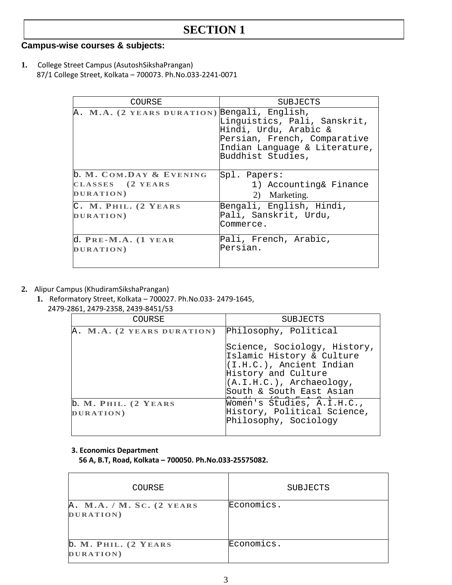#### **Campus-wise courses & subjects:**

**1.** College Street Campus (AsutoshSikshaPrangan) 87/1 College Street, Kolkata – 700073. Ph.No.033-2241-0071

| COURSE                                                   | SUBJECTS                                                                                                                                    |
|----------------------------------------------------------|---------------------------------------------------------------------------------------------------------------------------------------------|
| A. M.A. (2 YEARS DURATION) Bengali, English,             | Linguistics, Pali, Sanskrit,<br>Hindi, Urdu, Arabic &<br>Persian, French, Comparative<br>Indian Language & Literature,<br>Buddhist Studies, |
| b. M. COM.DAY & EVENING<br>CLASSES (2 YEARS<br>DURATION) | Spl. Papers:<br>1) Accounting& Finance<br>2) Marketing.                                                                                     |
| C. M. PHIL. (2 YEARS<br>DURATION)                        | Bengali, English, Hindi,<br>Pali, Sanskrit, Urdu,<br>Commerce.                                                                              |
| $d. PRE-M.A. (1 YEAR)$<br>DURATION)                      | Pali, French, Arabic,<br>Persian.                                                                                                           |

- **2.** Alipur Campus (KhudiramSikshaPrangan)
	- **1.** Reformatory Street, Kolkata 700027. Ph.No.033- 2479-1645, 2479-2861, 2479-2358, 2439-8451/53

| COURSE                            | SUBJECTS                                                                                                                                                                |
|-----------------------------------|-------------------------------------------------------------------------------------------------------------------------------------------------------------------------|
| A. M.A. (2 YEARS DURATION)        | Philosophy, Political                                                                                                                                                   |
|                                   | Science, Sociology, History,<br>Islamic History & Culture<br>(I.H.C.), Ancient Indian<br>History and Culture<br>$(A.I.H.C.)$ , Archaeology,<br>South & South East Asian |
| b. M. PHIL. (2 YEARS<br>DURATION) | Women's Studies, A.I.H.C.,<br>History, Political Science,<br>Philosophy, Sociology                                                                                      |

#### **3. Economics Department**

 **56 A, B.T, Road, Kolkata – 700050. Ph.No.033-25575082.**

| COURSE                                 | <b>SUBJECTS</b> |
|----------------------------------------|-----------------|
| A. M.A. / M. SC. (2 YEARS<br>DURATION) | Economics.      |
| b. M. PHIL. (2 YEARS<br>DURATION)      | Economics.      |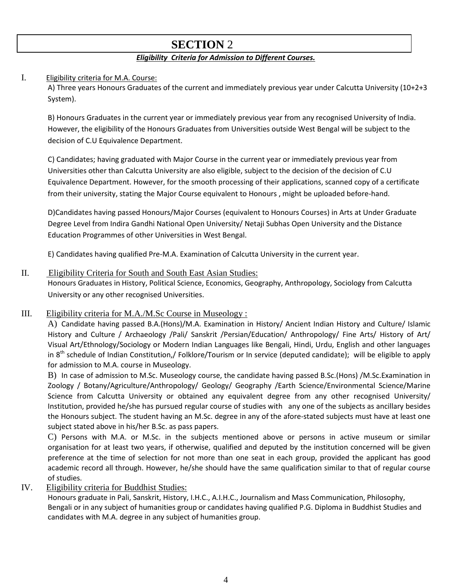#### *Eligibility Criteria for Admission to Different Courses.*

#### I. Eligibility criteria for M.A. Course:

A) Three years Honours Graduates of the current and immediately previous year under Calcutta University (10+2+3 System).

B) Honours Graduates in the current year or immediately previous year from any recognised University of India. However, the eligibility of the Honours Graduates from Universities outside West Bengal will be subject to the decision of C.U Equivalence Department.

C) Candidates; having graduated with Major Course in the current year or immediately previous year from Universities other than Calcutta University are also eligible, subject to the decision of the decision of C.U Equivalence Department. However, for the smooth processing of their applications, scanned copy of a certificate from their university, stating the Major Course equivalent to Honours , might be uploaded before-hand.

D)Candidates having passed Honours/Major Courses (equivalent to Honours Courses) in Arts at Under Graduate Degree Level from Indira Gandhi National Open University/ Netaji Subhas Open University and the Distance Education Programmes of other Universities in West Bengal.

E) Candidates having qualified Pre-M.A. Examination of Calcutta University in the current year.

#### II. Eligibility Criteria for South and South East Asian Studies:

Honours Graduates in History, Political Science, Economics, Geography, Anthropology, Sociology from Calcutta University or any other recognised Universities.

#### III. Eligibility criteria for M.A./M.Sc Course in Museology :

A) Candidate having passed B.A.(Hons)/M.A. Examination in History/ Ancient Indian History and Culture/ Islamic History and Culture / Archaeology /Pali/ Sanskrit /Persian/Education/ Anthropology/ Fine Arts/ History of Art/ Visual Art/Ethnology/Sociology or Modern Indian Languages like Bengali, Hindi, Urdu, English and other languages in  $8^{th}$  schedule of Indian Constitution,/ Folklore/Tourism or In service (deputed candidate); will be eligible to apply for admission to M.A. course in Museology.

B) In case of admission to M.Sc. Museology course, the candidate having passed B.Sc.(Hons) /M.Sc.Examination in Zoology / Botany/Agriculture/Anthropology/ Geology/ Geography /Earth Science/Environmental Science/Marine Science from Calcutta University or obtained any equivalent degree from any other recognised University/ Institution, provided he/she has pursued regular course of studies with any one of the subjects as ancillary besides the Honours subject. The student having an M.Sc. degree in any of the afore-stated subjects must have at least one subject stated above in his/her B.Sc. as pass papers.

C) Persons with M.A. or M.Sc. in the subjects mentioned above or persons in active museum or similar organisation for at least two years, if otherwise, qualified and deputed by the institution concerned will be given preference at the time of selection for not more than one seat in each group, provided the applicant has good academic record all through. However, he/she should have the same qualification similar to that of regular course of studies.

#### IV. Eligibility criteria for Buddhist Studies:

Honours graduate in Pali, Sanskrit, History, I.H.C., A.I.H.C., Journalism and Mass Communication, Philosophy, Bengali or in any subject of humanities group or candidates having qualified P.G. Diploma in Buddhist Studies and candidates with M.A. degree in any subject of humanities group.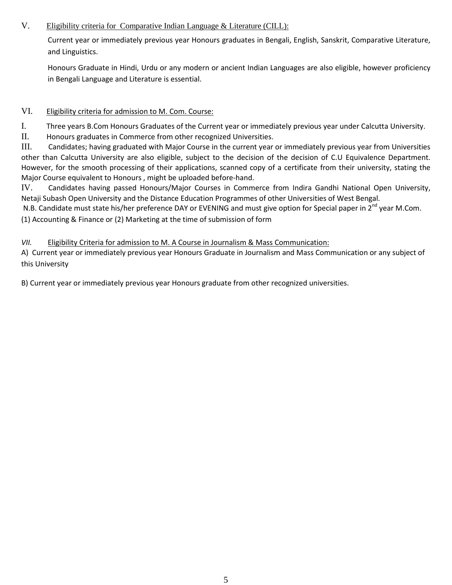#### V. Eligibility criteria for Comparative Indian Language & Literature (CILL):

Current year or immediately previous year Honours graduates in Bengali, English, Sanskrit, Comparative Literature, and Linguistics.

Honours Graduate in Hindi, Urdu or any modern or ancient Indian Languages are also eligible, however proficiency in Bengali Language and Literature is essential.

#### VI. Eligibility criteria for admission to M. Com. Course:

I. Three years B.Com Honours Graduates of the Current year or immediately previous year under Calcutta University.

II. Honours graduates in Commerce from other recognized Universities.

III. Candidates; having graduated with Major Course in the current year or immediately previous year from Universities other than Calcutta University are also eligible, subject to the decision of the decision of C.U Equivalence Department. However, for the smooth processing of their applications, scanned copy of a certificate from their university, stating the Major Course equivalent to Honours , might be uploaded before-hand.

IV. Candidates having passed Honours/Major Courses in Commerce from Indira Gandhi National Open University, Netaji Subash Open University and the Distance Education Programmes of other Universities of West Bengal.

N.B. Candidate must state his/her preference DAY or EVENING and must give option for Special paper in 2<sup>nd</sup> year M.Com.

(1) Accounting & Finance or (2) Marketing at the time of submission of form

#### *VII.* Eligibility Criteria for admission to M. A Course in Journalism & Mass Communication:

A) Current year or immediately previous year Honours Graduate in Journalism and Mass Communication or any subject of this University

B) Current year or immediately previous year Honours graduate from other recognized universities.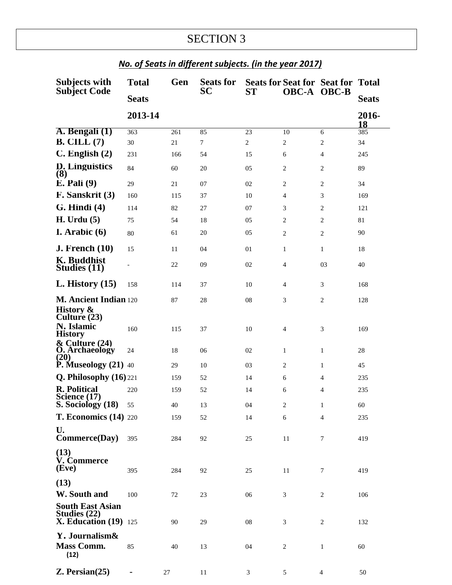| Subjects with                                                             | <b>Total</b>      | Gen | <b>Seats for</b> |                |                | <b>Seats for Seat for Seat for Total</b> |              |
|---------------------------------------------------------------------------|-------------------|-----|------------------|----------------|----------------|------------------------------------------|--------------|
| <b>Subject Code</b>                                                       | <b>Seats</b>      |     | SС               | <b>ST</b>      | OBC-A OBC-B    |                                          | <b>Seats</b> |
|                                                                           | 2013-14           |     |                  |                |                |                                          | 2016-<br>18  |
| A. Bengali (1)                                                            | 363               | 261 | 85               | 23             | 10             | 6                                        | 385          |
| $B.$ CILL $(7)$                                                           | 30                | 21  | $\tau$           | $\overline{c}$ | $\mathfrak{2}$ | 2                                        | 34           |
| $C.$ English $(2)$                                                        | 231               | 166 | 54               | 15             | 6              | $\overline{4}$                           | 245          |
| D. Linguistics<br>(8)                                                     | 84                | 60  | 20               | 05             | $\mathbf{2}$   | 2                                        | 89           |
| $E.$ Pali $(9)$                                                           | 29                | 21  | 07               | 02             | $\mathbf{2}$   | 2                                        | 34           |
| F. Sanskrit (3)                                                           | 160               | 115 | 37               | 10             | $\overline{4}$ | 3                                        | 169          |
| $G.$ Hindi $(4)$                                                          | 114               | 82  | 27               | 07             | 3              | 2                                        | 121          |
| <b>H.</b> Urdu (5)                                                        | 75                | 54  | 18               | 05             | $\mathbf{2}$   | 2                                        | 81           |
| I. Arabic $(6)$                                                           | 80                | 61  | 20               | 05             | $\overline{2}$ | $\overline{c}$                           | 90           |
| <b>J. French</b> (10)                                                     | 15                | 11  | 04               | 01             | $\mathbf{1}$   | 1                                        | 18           |
| <b>K.</b> Buddhist<br>Studies (11)                                        | $\qquad \qquad -$ | 22  | 09               | 02             | $\overline{4}$ | 03                                       | 40           |
| $L.$ History $(15)$                                                       | 158               | 114 | 37               | 10             | $\overline{4}$ | 3                                        | 168          |
| M. Ancient Indian 120<br>History &                                        |                   | 87  | 28               | 08             | 3              | $\overline{2}$                           | 128          |
| Culture (23)<br>N. Islamic<br><b>History</b>                              | 160               | 115 | 37               | 10             | $\overline{4}$ | 3                                        | 169          |
| $&$ Culture $(24)$<br><b>O.</b> Archaeology<br>(20)                       | 24                | 18  | 06               | 02             | $\mathbf{1}$   | 1                                        | 28           |
| <b>P.</b> Museology $(21)$ 40                                             |                   | 29  | 10               | 03             | 2              | 1                                        | 45           |
| Q. Philosophy $(16)$ 221                                                  |                   | 159 | 52               | 14             | 6              | $\overline{4}$                           | 235          |
| <b>R.</b> Political<br>Science (17)                                       | 220               | 159 | 52               | 14             | 6              | 4                                        | 235          |
| S. Sociology (18)                                                         | 55                | 40  | 13               | 04             | $\mathfrak{2}$ | $\mathbf{1}$                             | 60           |
| <b>T. Economics (14) 220</b>                                              |                   | 159 | 52               | 14             | 6              | 4                                        | 235          |
| U.<br><b>Commerce(Day)</b>                                                | 395               | 284 | 92               | 25             | 11             | 7                                        | 419          |
| (13)<br>V. Commerce<br>(Eve)                                              | 395               | 284 | 92               | 25             | 11             | 7                                        | 419          |
| (13)<br>W. South and                                                      | 100               | 72  | 23               | 06             | 3              | 2                                        | 106          |
| <b>South East Asian</b><br>Studies $(22)$<br><b>X. Education (19)</b> 125 |                   | 90  | 29               | ${\bf 08}$     | 3              | 2                                        | 132          |
| Y. Journalism&<br><b>Mass Comm.</b>                                       | 85                | 40  | 13               | 04             | $\overline{c}$ | $\mathbf{1}$                             | 60           |
| (12)                                                                      |                   |     |                  |                |                |                                          |              |
| $Z.$ Persian $(25)$                                                       |                   | 27  | 11               | 3              | 5              | 4                                        | 50           |

## *No. of Seats in different subjects. (in the year 2017)*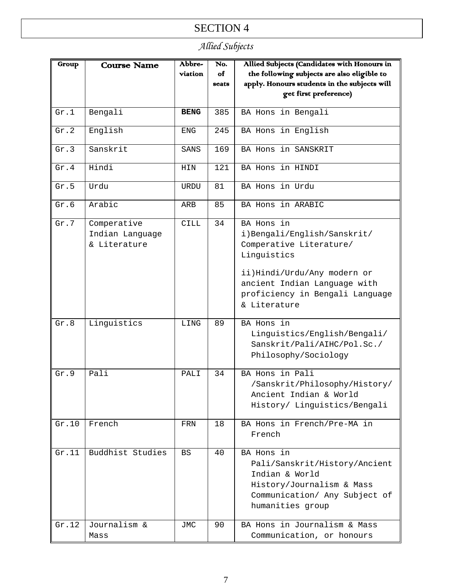## *Allied Subjects*

| Group | <b>Course Name</b> | Abbre-            | No.   | Allied Subjects (Candidates with Honours in  |
|-------|--------------------|-------------------|-------|----------------------------------------------|
|       |                    | viation           | of    | the following subjects are also eligible to  |
|       |                    |                   | seats | apply. Honours students in the subjects will |
|       |                    |                   |       | get first preference)                        |
|       |                    |                   |       |                                              |
| Gr.1  | Bengali            | <b>BENG</b>       | 385   | BA Hons in Bengali                           |
| Gr.2  | English            | ENG               | 245   | BA Hons in English                           |
| Gr.3  | Sanskrit           | SANS              | 169   | BA Hons in SANSKRIT                          |
| Gr.4  | Hindi              | HIN               | 121   | BA Hons in HINDI                             |
| Gr.5  | Urdu               | <b>URDU</b>       | 81    | BA Hons in Urdu                              |
| Gr.6  | Arabic             | ARB               | 85    | BA Hons in ARABIC                            |
| Gr.7  | Comperative        | <b>CILL</b>       | 34    | BA Hons in                                   |
|       | Indian Language    |                   |       | i)Bengali/English/Sanskrit/                  |
|       | & Literature       |                   |       | Comperative Literature/                      |
|       |                    |                   |       | Linguistics                                  |
|       |                    |                   |       |                                              |
|       |                    |                   |       | ii)Hindi/Urdu/Any modern or                  |
|       |                    |                   |       | ancient Indian Language with                 |
|       |                    |                   |       | proficiency in Bengali Language              |
|       |                    |                   |       | & Literature                                 |
|       |                    |                   |       |                                              |
| Gr.8  | Linguistics        | LING              | 89    | BA Hons in                                   |
|       |                    |                   |       | Linguistics/English/Bengali/                 |
|       |                    |                   |       | Sanskrit/Pali/AIHC/Pol.Sc./                  |
|       |                    |                   |       | Philosophy/Sociology                         |
| Gr.9  | Pali               | PALT <sub>I</sub> | 34    | BA Hons in Pali                              |
|       |                    |                   |       | /Sanskrit/Philosophy/History/                |
|       |                    |                   |       | Ancient Indian & World                       |
|       |                    |                   |       |                                              |
|       |                    |                   |       | History/ Linguistics/Bengali                 |
| Gr.10 | French             | FRN               | 18    | BA Hons in French/Pre-MA in                  |
|       |                    |                   |       | French                                       |
| Gr.11 | Buddhist Studies   | <b>BS</b>         | 40    | BA Hons in                                   |
|       |                    |                   |       |                                              |
|       |                    |                   |       | Pali/Sanskrit/History/Ancient                |
|       |                    |                   |       | Indian & World                               |
|       |                    |                   |       | History/Journalism & Mass                    |
|       |                    |                   |       | Communication/ Any Subject of                |
|       |                    |                   |       | humanities group                             |
| Gr.12 | Journalism &       | <b>JMC</b>        | 90    | BA Hons in Journalism & Mass                 |
|       | Mass               |                   |       | Communication, or honours                    |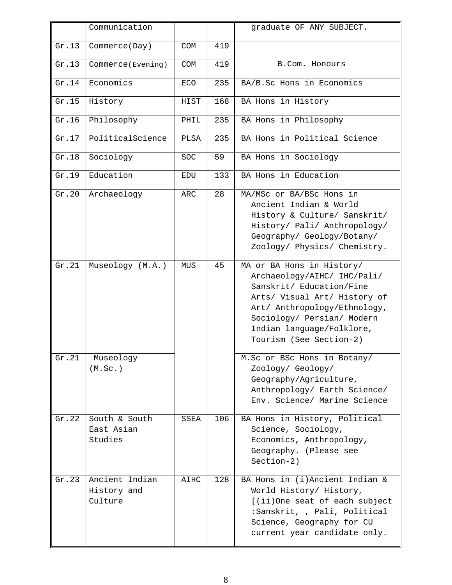|       | Communication                            |            |     | graduate OF ANY SUBJECT.                                                                                                                                                                                                                   |
|-------|------------------------------------------|------------|-----|--------------------------------------------------------------------------------------------------------------------------------------------------------------------------------------------------------------------------------------------|
| Gr.13 | Commerce(Day)                            | COM        | 419 |                                                                                                                                                                                                                                            |
| Gr.13 | Commerce(Evening)                        | COM        | 419 | B.Com. Honours                                                                                                                                                                                                                             |
| Gr.14 | Economics                                | <b>ECO</b> | 235 | BA/B.Sc Hons in Economics                                                                                                                                                                                                                  |
| Gr.15 | History                                  | HIST       | 168 | BA Hons in History                                                                                                                                                                                                                         |
| Gr.16 | Philosophy                               | PHIL       | 235 | BA Hons in Philosophy                                                                                                                                                                                                                      |
| Gr.17 | PoliticalScience                         | PLSA       | 235 | BA Hons in Political Science                                                                                                                                                                                                               |
| Gr.18 | Sociology                                | <b>SOC</b> | 59  | BA Hons in Sociology                                                                                                                                                                                                                       |
| Gr.19 | Education                                | EDU        | 133 | BA Hons in Education                                                                                                                                                                                                                       |
| Gr.20 | Archaeology                              | <b>ARC</b> | 28  | MA/MSc or BA/BSc Hons in<br>Ancient Indian & World<br>History & Culture/ Sanskrit/<br>History/ Pali/ Anthropology/<br>Geography/ Geology/Botany/<br>Zoology/ Physics/ Chemistry.                                                           |
| Gr.21 | Museology (M.A.)                         | <b>MUS</b> | 45  | MA or BA Hons in History/<br>Archaeology/AIHC/ IHC/Pali/<br>Sanskrit/ Education/Fine<br>Arts/ Visual Art/ History of<br>Art/ Anthropology/Ethnology,<br>Sociology/ Persian/ Modern<br>Indian language/Folklore,<br>Tourism (See Section-2) |
| Gr.21 | Museology<br>(M.Sc.)                     |            |     | M.Sc or BSc Hons in Botany/<br>Zoology/ Geology/<br>Geography/Agriculture,<br>Anthropology/ Earth Science/<br>Env. Science/ Marine Science                                                                                                 |
| Gr.22 | South & South<br>East Asian<br>Studies   | SSEA       | 106 | BA Hons in History, Political<br>Science, Sociology,<br>Economics, Anthropology,<br>Geography. (Please see<br>$Section-2)$                                                                                                                 |
| Gr.23 | Ancient Indian<br>History and<br>Culture | AIHC       | 128 | BA Hons in (i)Ancient Indian &<br>World History/ History,<br>[(ii)One seat of each subject<br>:Sanskrit, , Pali, Political<br>Science, Geography for CU<br>current year candidate only.                                                    |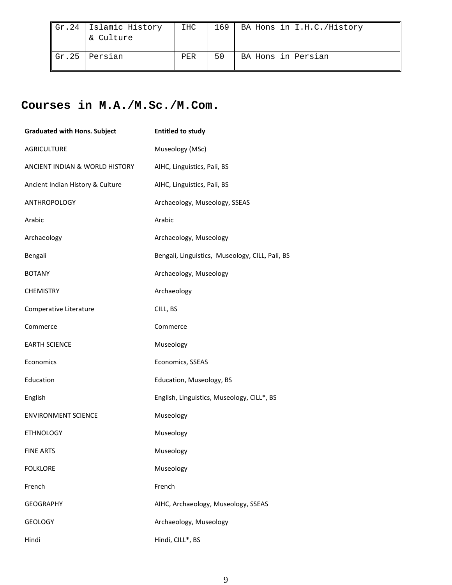| $\vert$ Gr.24   Islamic History<br>& Culture | IHC | 169 | BA Hons in I.H.C./History |
|----------------------------------------------|-----|-----|---------------------------|
| $\vert$ Gr.25   Persian                      | PER | 50  | BA Hons in Persian        |

## **Courses in M.A./M.Sc./M.Com.**

| <b>Graduated with Hons. Subject</b> | <b>Entitled to study</b>                        |
|-------------------------------------|-------------------------------------------------|
| <b>AGRICULTURE</b>                  | Museology (MSc)                                 |
| ANCIENT INDIAN & WORLD HISTORY      | AIHC, Linguistics, Pali, BS                     |
| Ancient Indian History & Culture    | AIHC, Linguistics, Pali, BS                     |
| <b>ANTHROPOLOGY</b>                 | Archaeology, Museology, SSEAS                   |
| Arabic                              | Arabic                                          |
| Archaeology                         | Archaeology, Museology                          |
| Bengali                             | Bengali, Linguistics, Museology, CILL, Pali, BS |
| <b>BOTANY</b>                       | Archaeology, Museology                          |
| <b>CHEMISTRY</b>                    | Archaeology                                     |
| Comperative Literature              | CILL, BS                                        |
| Commerce                            | Commerce                                        |
| <b>EARTH SCIENCE</b>                | Museology                                       |
| Economics                           | Economics, SSEAS                                |
| Education                           | Education, Museology, BS                        |
| English                             | English, Linguistics, Museology, CILL*, BS      |
| <b>ENVIRONMENT SCIENCE</b>          | Museology                                       |
| <b>ETHNOLOGY</b>                    | Museology                                       |
| <b>FINE ARTS</b>                    | Museology                                       |
| <b>FOLKLORE</b>                     | Museology                                       |
| French                              | French                                          |
| <b>GEOGRAPHY</b>                    | AIHC, Archaeology, Museology, SSEAS             |
| <b>GEOLOGY</b>                      | Archaeology, Museology                          |
| Hindi                               | Hindi, CILL*, BS                                |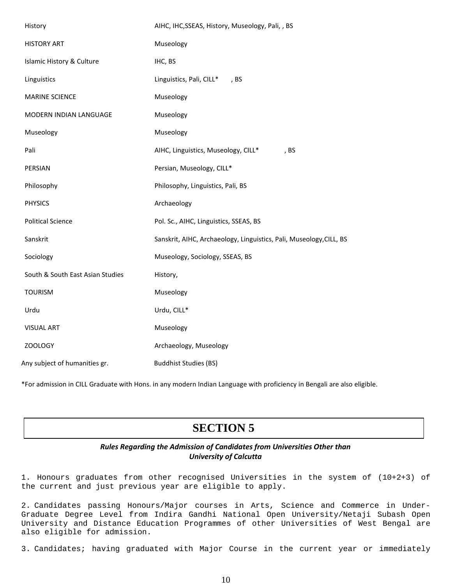| History                          | AIHC, IHC, SSEAS, History, Museology, Pali, , BS                    |
|----------------------------------|---------------------------------------------------------------------|
| <b>HISTORY ART</b>               | Museology                                                           |
| Islamic History & Culture        | IHC, BS                                                             |
| Linguistics                      | Linguistics, Pali, CILL*, BS                                        |
| <b>MARINE SCIENCE</b>            | Museology                                                           |
| MODERN INDIAN LANGUAGE           | Museology                                                           |
| Museology                        | Museology                                                           |
| Pali                             | AIHC, Linguistics, Museology, CILL*<br>, BS                         |
| PERSIAN                          | Persian, Museology, CILL*                                           |
| Philosophy                       | Philosophy, Linguistics, Pali, BS                                   |
| <b>PHYSICS</b>                   | Archaeology                                                         |
| <b>Political Science</b>         | Pol. Sc., AIHC, Linguistics, SSEAS, BS                              |
| Sanskrit                         | Sanskrit, AIHC, Archaeology, Linguistics, Pali, Museology, CILL, BS |
| Sociology                        | Museology, Sociology, SSEAS, BS                                     |
| South & South East Asian Studies | History,                                                            |
| <b>TOURISM</b>                   | Museology                                                           |
| Urdu                             | Urdu, CILL*                                                         |
| <b>VISUAL ART</b>                | Museology                                                           |
| <b>ZOOLOGY</b>                   | Archaeology, Museology                                              |
| Any subject of humanities gr.    | <b>Buddhist Studies (BS)</b>                                        |

\*For admission in CILL Graduate with Hons. in any modern Indian Language with proficiency in Bengali are also eligible.

## **SECTION 5**

#### *Rules Regarding the Admission of Candidates from Universities Other than University of Calcutta*

1. Honours graduates from other recognised Universities in the system of (10+2+3) of the current and just previous year are eligible to apply.

2. Candidates passing Honours/Major courses in Arts, Science and Commerce in Under-Graduate Degree Level from Indira Gandhi National Open University/Netaji Subash Open University and Distance Education Programmes of other Universities of West Bengal are also eligible for admission.

3. Candidates; having graduated with Major Course in the current year or immediately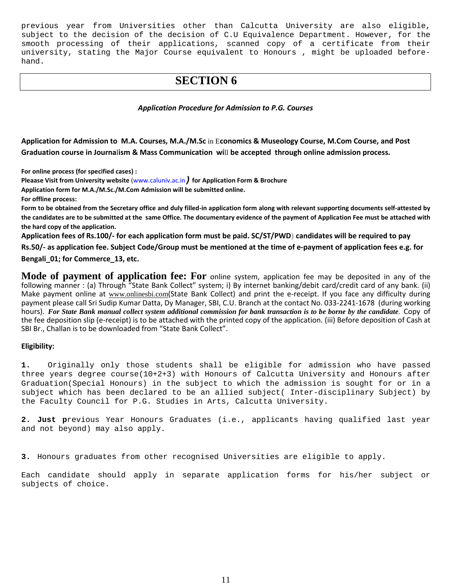previous year from Universities other than Calcutta University are also eligible, subject to the decision of the decision of C.U Equivalence Department. However, for the smooth processing of their applications, scanned copy of a certificate from their university, stating the Major Course equivalent to Honours , might be uploaded beforehand.

## **SECTION 6**

#### *Application Procedure for Admission to P.G. Courses*

**Application for Admission to M.A. Courses, M.A./M.Sc** in E**conomics & Museology Course, M.Com Course, and Post Graduation course in Journa**l**ism & Mass Communication wi**ll **be accepted through online admission process.**

**For online process (for specified cases) :**

**Pleaase Visit from University website** [\(www.caluniv.ac.in](http://www.caluniv.ac.in/)*)* **for Application Form & Brochure**

**Application form for M.A./M.Sc./M.Com Admission will be submitted online.**

**For offline process:** 

**Form to be obtained from the Secretary office and duly filled-in application form along with relevant supporting documents self-attested by the candidates are to be submitted at the same Office. The documentary evidence of the payment of Application Fee must be attached with the hard copy of the application.** 

**Application fees of Rs.100/- for each application form must be paid. SC/ST/PWD) candidates will be required to pay** 

**Rs.50/- as application fee. Subject Code/Group must be mentioned at the time of e-payment of application fees e.g. for Bengali\_01; for Commerce\_13, etc.** 

**Mode of payment of application fee: For** online system, application fee may be deposited in any of the following manner : (a) Through "State Bank Collect" system; i) By internet banking/debit card/credit card of any bank. (ii) Make payment online at [www.onlinesbi.com](http://www.onlinesbi.com/)(State Bank Collect) and print the e-receipt. If you face any difficulty during payment please call Sri Sudip Kumar Datta, Dy Manager, SBI, C.U. Branch at the contact No. 033-2241-1678 (during working hours). *For State Bank manual collect system additional commission for bank transaction is to be borne by the candidate.* Copy of the fee deposition slip (e-receipt) is to be attached with the printed copy of the application. (iii) Before deposition of Cash at SBI Br., Challan is to be downloaded from "State Bank Collect".

#### **Eligibility:**

**1.** Originally only those students shall be eligible for admission who have passed three years degree course(10+2+3) with Honours of Calcutta University and Honours after Graduation(Special Honours) in the subject to which the admission is sought for or in a subject which has been declared to be an allied subject( Inter-disciplinary Subject) by the Faculty Council for P.G. Studies in Arts, Calcutta University.

**2. Just p**revious Year Honours Graduates (i.e., applicants having qualified last year and not beyond) may also apply.

**3.** Honours graduates from other recognised Universities are eligible to apply.

Each candidate should apply in separate application forms for his/her subject or subjects of choice.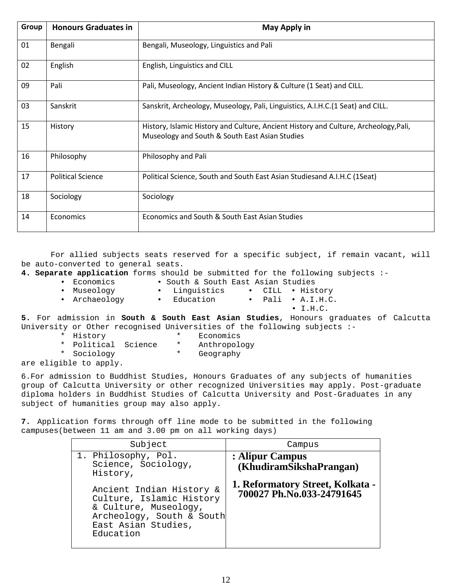| Group | <b>Honours Graduates in</b> | <b>May Apply in</b>                                                                                                                    |
|-------|-----------------------------|----------------------------------------------------------------------------------------------------------------------------------------|
| 01    | Bengali                     | Bengali, Museology, Linguistics and Pali                                                                                               |
| 02    | English                     | English, Linguistics and CILL                                                                                                          |
| 09    | Pali                        | Pali, Museology, Ancient Indian History & Culture (1 Seat) and CILL.                                                                   |
| 03    | Sanskrit                    | Sanskrit, Archeology, Museology, Pali, Linguistics, A.I.H.C. (1 Seat) and CILL.                                                        |
| 15    | History                     | History, Islamic History and Culture, Ancient History and Culture, Archeology, Pali,<br>Museology and South & South East Asian Studies |
| 16    | Philosophy                  | Philosophy and Pali                                                                                                                    |
| 17    | <b>Political Science</b>    | Political Science, South and South East Asian Studiesand A.I.H.C (1Seat)                                                               |
| 18    | Sociology                   | Sociology                                                                                                                              |
| 14    | Economics                   | Economics and South & South East Asian Studies                                                                                         |

For allied subjects seats reserved for a specific subject, if remain vacant, will be auto-converted to general seats.

**4. Separate application** forms should be submitted for the following subjects :-

- 
- 
- 
- Economics South & South East Asian Studies<br>• Museology Linguistics CILL Hist
- 
- Einguistics CILL History<br>Education Pali A.I.H.C. • Archaeology • Education •
	- I.H.C.

**5.** For admission in **South & South East Asian Studies**, Honours graduates of Calcutta University or Other recognised Universities of the following subjects :-<br>\* History \* Economics

- 
- \* History \* Economics
- \* Political Science \* Anthropolo<br>\* Sociology \* Geography
	-
- \* Sociology are eligible to apply.

6.For admission to Buddhist Studies, Honours Graduates of any subjects of humanities group of Calcutta University or other recognized Universities may apply. Post-graduate diploma holders in Buddhist Studies of Calcutta University and Post-Graduates in any subject of humanities group may also apply.

**7.** Application forms through off line mode to be submitted in the following campuses(between 11 am and 3.00 pm on all working days)

| Subject                                                                                                                                        | Campus                                                        |
|------------------------------------------------------------------------------------------------------------------------------------------------|---------------------------------------------------------------|
| 1. Philosophy, Pol.<br>Science, Sociology,<br>History,                                                                                         | : Alipur Campus<br>(KhudiramSikshaPrangan)                    |
| Ancient Indian History &<br>Culture, Islamic History<br>& Culture, Museology,<br>Archeology, South & South<br>East Asian Studies,<br>Education | 1. Reformatory Street, Kolkata -<br>700027 Ph.No.033-24791645 |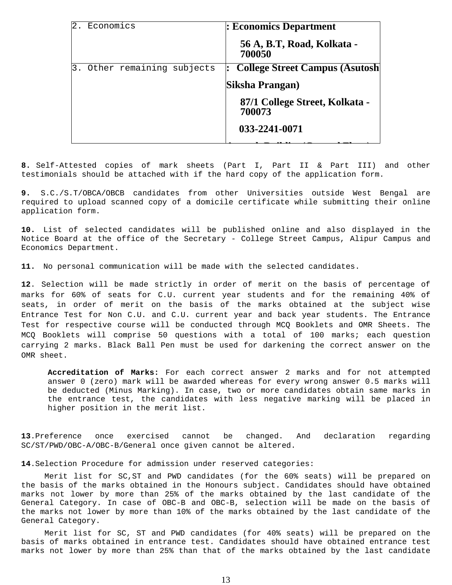|    | Economics                | : Economics Department                   |
|----|--------------------------|------------------------------------------|
|    |                          | 56 A, B.T, Road, Kolkata -<br>700050     |
| 3. | Other remaining subjects | <b>College Street Campus (Asutosh)</b>   |
|    |                          | Siksha Prangan)                          |
|    |                          | 87/1 College Street, Kolkata -<br>700073 |
|    |                          | 033-2241-0071                            |
|    |                          |                                          |

**8.** Self-Attested copies of mark sheets (Part I, Part II & Part III) and other testimonials should be attached with if the hard copy of the application form.

**9.** S.C./S.T/OBCA/OBCB candidates from other Universities outside West Bengal are required to upload scanned copy of a domicile certificate while submitting their online application form.

**10.** List of selected candidates will be published online and also displayed in the Notice Board at the office of the Secretary - College Street Campus, Alipur Campus and Economics Department.

**11.** No personal communication will be made with the selected candidates.

**12**. Selection will be made strictly in order of merit on the basis of percentage of marks for 60% of seats for C.U. current year students and for the remaining 40% of seats, in order of merit on the basis of the marks obtained at the subject wise Entrance Test for Non C.U. and C.U. current year and back year students. The Entrance Test for respective course will be conducted through MCQ Booklets and OMR Sheets. The MCQ Booklets will comprise 50 questions with a total of 100 marks; each question carrying 2 marks. Black Ball Pen must be used for darkening the correct answer on the OMR sheet.

**Accreditation of Marks:** For each correct answer 2 marks and for not attempted answer 0 (zero) mark will be awarded whereas for every wrong answer 0.5 marks will be deducted (Minus Marking). In case, two or more candidates obtain same marks in the entrance test, the candidates with less negative marking will be placed in higher position in the merit list.

**13**.Preference once exercised cannot be changed. And declaration regarding SC/ST/PWD/OBC-A/OBC-B/General once given cannot be altered.

**14**.Selection Procedure for admission under reserved categories:

 Merit list for SC,ST and PWD candidates (for the 60% seats) will be prepared on the basis of the marks obtained in the Honours subject. Candidates should have obtained marks not lower by more than 25% of the marks obtained by the last candidate of the General Category. In case of OBC-B and OBC-B, selection will be made on the basis of the marks not lower by more than 10% of the marks obtained by the last candidate of the General Category.

Merit list for SC, ST and PWD candidates (for 40% seats) will be prepared on the basis of marks obtained in entrance test. Candidates should have obtained entrance test marks not lower by more than 25% than that of the marks obtained by the last candidate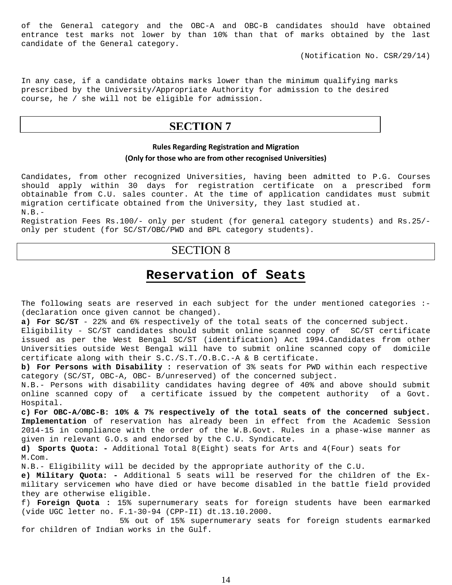of the General category and the OBC-A and OBC-B candidates should have obtained entrance test marks not lower by than 10% than that of marks obtained by the last candidate of the General category.

(Notification No. CSR/29/14)

In any case, if a candidate obtains marks lower than the minimum qualifying marks prescribed by the University/Appropriate Authority for admission to the desired course, he / she will not be eligible for admission.

### **SECTION 7**

#### **Rules Regarding Registration and Migration**

#### **(Only for those who are from other recognised Universities)**

Candidates, from other recognized Universities, having been admitted to P.G. Courses should apply within 30 days for registration certificate on a prescribed form obtainable from C.U. sales counter. At the time of application candidates must submit migration certificate obtained from the University, they last studied at. N.B.-

Registration Fees Rs.100/- only per student (for general category students) and Rs.25/ only per student (for SC/ST/OBC/PWD and BPL category students).

## SECTION 8

## **Reservation of Seats**

The following seats are reserved in each subject for the under mentioned categories :-(declaration once given cannot be changed).

**a) For SC/ST** - 22% and 6% respectively of the total seats of the concerned subject.

Eligibility - SC/ST candidates should submit online scanned copy of SC/ST certificate issued as per the West Bengal SC/ST (identification) Act 1994.Candidates from other Universities outside West Bengal will have to submit online scanned copy of domicile certificate along with their S.C./S.T./O.B.C.-A & B certificate.

**b) For Persons with Disability :** reservation of 3% seats for PWD within each respective category (SC/ST, OBC-A, OBC- B/unreserved) of the concerned subject.

N.B.- Persons with disability candidates having degree of 40% and above should submit online scanned copy of a certificate issued by the competent authority of a Govt. Hospital.

**c) For OBC-A/OBC-B: 10% & 7% respectively of the total seats of the concerned subject. Implementation** of reservation has already been in effect from the Academic Session 2014-15 in compliance with the order of the W.B.Govt. Rules in a phase-wise manner as given in relevant G.O.s and endorsed by the C.U. Syndicate.

**d) Sports Quota: -** Additional Total 8(Eight) seats for Arts and 4(Four) seats for M.Com.

N.B.- Eligibility will be decided by the appropriate authority of the C.U.

**e) Military Quota: -** Additional 5 seats will be reserved for the children of the Exmilitary servicemen who have died or have become disabled in the battle field provided they are otherwise eligible.

f) **Foreign Quota :** 15% supernumerary seats for foreign students have been earmarked (vide UGC letter no. F.1-30-94 (CPP-II) dt.13.10.2000.

 5% out of 15% supernumerary seats for foreign students earmarked for children of Indian works in the Gulf.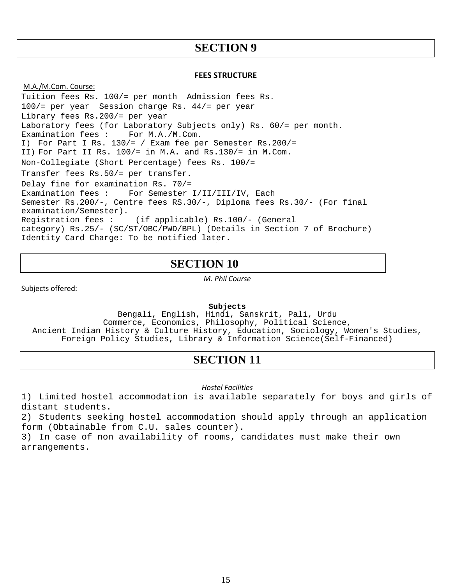#### **FEES STRUCTURE**

M.A./M.Com. Course: Tuition fees Rs. 100/= per month Admission fees Rs. 100/= per year Session charge Rs. 44/= per year Library fees Rs.200/= per year Laboratory fees (for Laboratory Subjects only) Rs.  $60/=\text{per month.}$ <br>Examination fees : For M.A./M.Com. Examination fees : I) For Part I Rs. 130/= / Exam fee per Semester Rs.200/= II) For Part II Rs. 100/= in M.A. and Rs.130/= in M.Com. Non-Collegiate (Short Percentage) fees Rs. 100/= Transfer fees Rs.50/= per transfer. Delay fine for examination Rs. 70/= Examination fees : For Semester I/II/III/IV, Each Semester Rs.200/-, Centre fees RS.30/-, Diploma fees Rs.30/- (For final examination/Semester).<br>Reqistration fees : (if applicable) Rs.100/- (General category) Rs.25/- (SC/ST/OBC/PWD/BPL) (Details in Section 7 of Brochure) Identity Card Charge: To be notified later.

## **SECTION 10**

*M. Phil Course*

Subjects offered:

**Subjects**

Bengali, English, Hindi, Sanskrit, Pali, Urdu Commerce, Economics, Philosophy, Political Science, Ancient Indian History & Culture History, Education, Sociology, Women's Studies, Foreign Policy Studies, Library & Information Science(Self-Financed)

## **SECTION 11**

*Hostel Facilities* 

1) Limited hostel accommodation is available separately for boys and girls of distant students.

2) Students seeking hostel accommodation should apply through an application form (Obtainable from C.U. sales counter).

3) In case of non availability of rooms, candidates must make their own arrangements.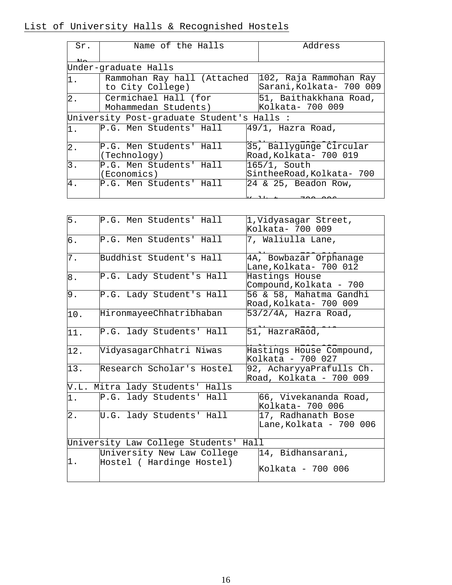| Sr.              | Name of the Halls                               | Address                                           |
|------------------|-------------------------------------------------|---------------------------------------------------|
|                  | Under-graduate Halls                            |                                                   |
| 1.               | Rammohan Ray hall (Attached<br>to City College) | 102, Raja Rammohan Ray<br>Sarani,Kolkata- 700 009 |
| $2$ .            | Cermichael Hall (for<br>Mohammedan Students)    | 51, Baithakkhana Road,<br>Kolkata- 700 009        |
|                  | University Post-graduate Student's Halls :      |                                                   |
| 1.               | P.G. Men Students' Hall                         | $49/1$ , Hazra Road,                              |
| $\overline{2}$ . | P.G. Men Students' Hall<br>(Technology)         | 35, Ballygunge Circular<br>Road, Kolkata- 700 019 |
| 3.               | P.G. Men Students' Hall<br>(Economics)          | $ 165/1,$ South<br>SintheeRoad, Kolkata- 700      |
| 4.               | P.G. Men Students' Hall                         | 24 & 25, Beadon Row,                              |
|                  |                                                 |                                                   |

| 5.    | P.G. Men Students' Hall                                 | 1, Vidyasagar Street,<br>Kolkata- 700 009           |
|-------|---------------------------------------------------------|-----------------------------------------------------|
| б.    | P.G. Men Students' Hall                                 | 7, Waliulla Lane,                                   |
| 7.    | Buddhist Student's Hall                                 | 4A, Bowbazar Orphanage<br>Lane,Kolkata- 700 012     |
| $8$ . | P.G. Lady Student's Hall                                | Hastings House<br>Compound, Kolkata - 700           |
| 9.    | P.G. Lady Student's Hall                                | 56 & 58, Mahatma Gandhi<br>Road, Kolkata- 700 009   |
| 10.   | HironmayeeChhatribhaban                                 | 53/2/4A, Hazra Road,                                |
| 11.   | P.G. lady Students' Hall                                | 51, HazraRaod,                                      |
| 12.   | VidyasagarChhatri Niwas                                 | Hastings House Compound,<br>Kolkata - 700 027       |
| 13.   | Research Scholar's Hostel                               | 92, AcharyyaPrafulls Ch.<br>Road, Kolkata - 700 009 |
| V.L.  | Mitra lady Students' Halls                              |                                                     |
| 1.    | P.G. lady Students' Hall                                | 66, Vivekananda Road,<br>Kolkata- 700 006           |
| $2$ . | U.G. lady Students' Hall                                | 17, Radhanath Bose<br>Lane,Kolkata - 700 006        |
|       | University Law College Students' Hall                   |                                                     |
| 1.    | University New Law College<br>Hostel ( Hardinge Hostel) | 14, Bidhansarani,<br>Kolkata - 700 006              |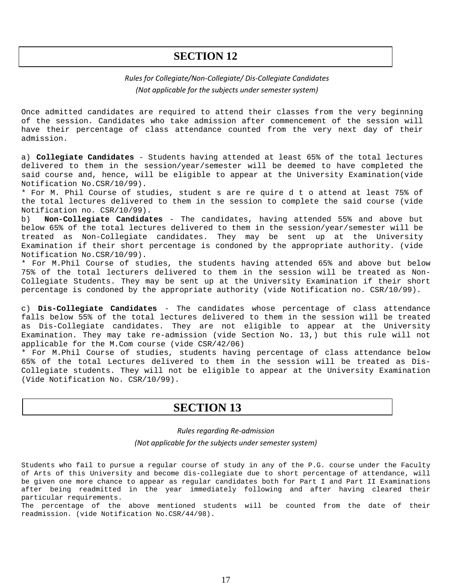#### *Rules for Collegiate/Non-Collegiate/ Dis-Collegiate Candidates (Not applicable for the subjects under semester system)*

Once admitted candidates are required to attend their classes from the very beginning of the session. Candidates who take admission after commencement of the session will have their percentage of class attendance counted from the very next day of their admission.

a) **Collegiate Candidates** - Students having attended at least 65% of the total lectures delivered to them in the session/year/semester will be deemed to have completed the said course and, hence, will be eligible to appear at the University Examination(vide Notification No.CSR/10/99).

\* For M. Phil Course of studies, student s are re quire d t o attend at least 75% of the total lectures delivered to them in the session to complete the said course (vide Notification no. CSR/10/99).<br>b) **Non-Collegiate Candidat** 

b) **Non-Collegiate Candidates** - The candidates, having attended 55% and above but below 65% of the total lectures delivered to them in the session/year/semester will be treated as Non-Collegiate candidates. They may be sent up at the University Examination if their short percentage is condoned by the appropriate authority. (vide Notification No.CSR/10/99).

\* For M.Phil Course of studies, the students having attended 65% and above but below 75% of the total lecturers delivered to them in the session will be treated as Non-Collegiate Students. They may be sent up at the University Examination if their short percentage is condoned by the appropriate authority (vide Notification no. CSR/10/99).

c) **Dis-Collegiate Candidates** - The candidates whose percentage of class attendance falls below 55% of the total lectures delivered to them in the session will be treated as Dis-Collegiate candidates. They are not eligible to appear at the University Examination. They may take re-admission (vide Section No. 13,) but this rule will not applicable for the M.Com course (vide CSR/42/06)

\* For M.Phil Course of studies, students having percentage of class attendance below 65% of the total Lectures delivered to them in the session will be treated as Dis-Collegiate students. They will not be eligible to appear at the University Examination (Vide Notification No. CSR/10/99).

## **SECTION 13**

#### *Rules regarding Re-admission (Not applicable for the subjects under semester system)*

Students who fail to pursue a regular course of study in any of the P.G. course under the Faculty of Arts of this University and become dis-collegiate due to short percentage of attendance, will be given one more chance to appear as regular candidates both for Part I and Part II Examinations after being readmitted in the year immediately following and after having cleared their particular requirements.

The percentage of the above mentioned students will be counted from the date of their readmission. (vide Notification No.CSR/44/98).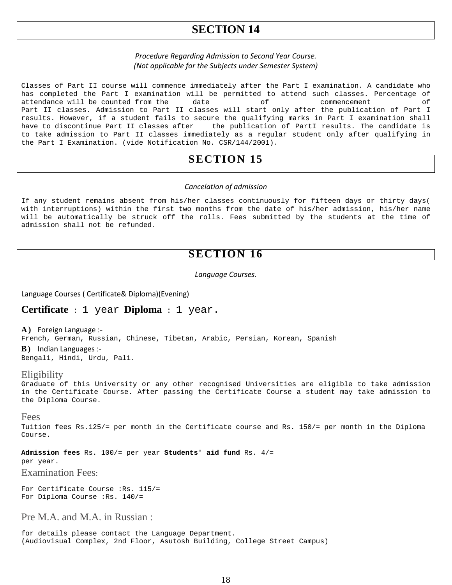#### *Procedure Regarding Admission to Second Year Course. (Not applicable for the Subjects under Semester System)*

Classes of Part II course will commence immediately after the Part I examination. A candidate who has completed the Part I examination will be permitted to attend such classes. Percentage of attendance will be counted from the date of commencement of attendance will be counted from the date of Part II classes. Admission to Part II classes will start only after the publication of Part I results. However, if a student fails to secure the qualifying marks in Part I examination shall<br>have to discontinue Part II classes after the publication of PartI results. The candidate is the publication of PartI results. The candidate is to take admission to Part II classes immediately as a regular student only after qualifying in the Part I Examination. (vide Notification No. CSR/144/2001).

## **SECTION 15**

#### *Cancelation of admission*

If any student remains absent from his/her classes continuously for fifteen days or thirty days( with interruptions) within the first two months from the date of his/her admission, his/her name will be automatically be struck off the rolls. Fees submitted by the students at the time of admission shall not be refunded.

### **SECTION 16**

#### *Language Courses.*

Language Courses ( Certificate& Diploma)(Evening)

#### **Certificate** : 1 year **Diploma** : 1 year.

**A )** Foreign Language :-

French, German, Russian, Chinese, Tibetan, Arabic, Persian, Korean, Spanish

**B )** Indian Languages :- Bengali, Hindi, Urdu, Pali.

#### **Eligibility**

Graduate of this University or any other recognised Universities are eligible to take admission in the Certificate Course. After passing the Certificate Course a student may take admission to the Diploma Course.

#### Fees

Tuition fees Rs.125/= per month in the Certificate course and Rs. 150/= per month in the Diploma Course.

**Admission fees** Rs. 100/= per year **Students' aid fund** Rs. 4/=

per year.

Examination Fees:

For Certificate Course :Rs. 115/= For Diploma Course :Rs. 140/=

Pre M.A. and M.A. in Russian :

for details please contact the Language Department. (Audiovisual Complex, 2nd Floor, Asutosh Building, College Street Campus)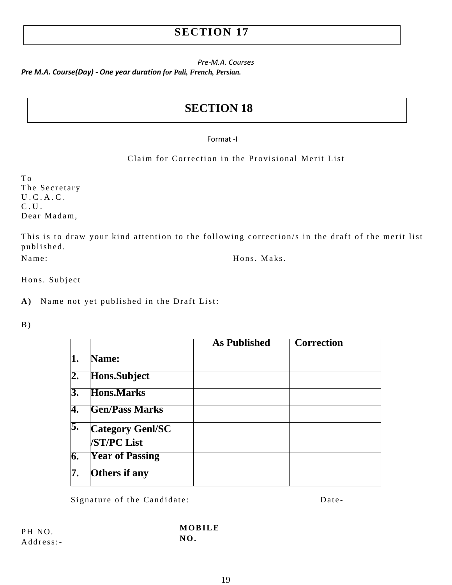*Pre-M.A. Courses*

*Pre M.A. Course(Day) - One year duration for Pali, French, Persian.*

## **SECTION 18**

#### Format -I

Claim for Correction in the Provisional Merit List

T o The Secretary U.C.A.C. C.U. Dear Madam,

This is to draw your kind attention to the following correction/s in the draft of the merit list published. Name: Hons. Maks.

Hons. Subject

**A )** Name not yet published in the Draft List:

 $B)$ 

|    |                                               | <b>As Published</b> | <b>Correction</b> |
|----|-----------------------------------------------|---------------------|-------------------|
| 1. | Name:                                         |                     |                   |
| 2. | <b>Hons.Subject</b>                           |                     |                   |
| 3. | <b>Hons.Marks</b>                             |                     |                   |
| 4. | <b>Gen/Pass Marks</b>                         |                     |                   |
| 5. | <b>Category Genl/SC</b><br><b>/ST/PC List</b> |                     |                   |
| 6. | <b>Year of Passing</b>                        |                     |                   |
| 7. | <b>Others</b> if any                          |                     |                   |

Signature of the Candidate: Date-

PH NO. Address:- **MOBILE NO.**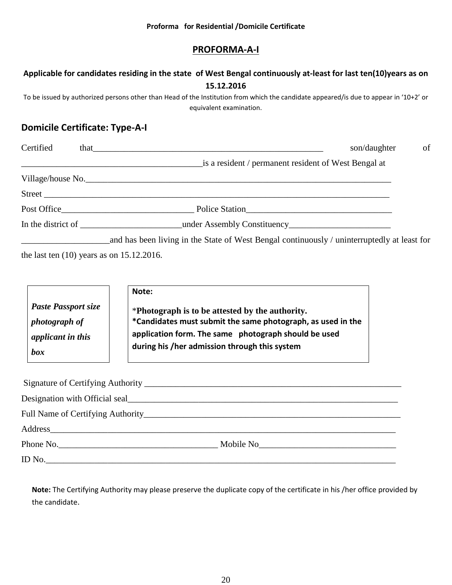|  | Proforma for Residential /Domicile Certificate |  |  |
|--|------------------------------------------------|--|--|
|--|------------------------------------------------|--|--|

### **PROFORMA-A-I**

## **Applicable for candidates residing in the state of West Bengal continuously at-least for last ten(10)years as on 15.12.2016**

To be issued by authorized persons other than Head of the Institution from which the candidate appeared/is due to appear in '10+2' or equivalent examination.

## **Domicile Certificate: Type-A-I**

| Certified | son/daughter<br>that the contract of the contract of the contract of the contract of the contract of the contract of the contract of the contract of the contract of the contract of the contract of the contract of the contract of the contr | of |
|-----------|------------------------------------------------------------------------------------------------------------------------------------------------------------------------------------------------------------------------------------------------|----|
|           | is a resident / permanent resident of West Bengal at                                                                                                                                                                                           |    |
|           |                                                                                                                                                                                                                                                |    |
|           |                                                                                                                                                                                                                                                |    |
|           |                                                                                                                                                                                                                                                |    |
|           | In the district of _______________________________under Assembly Constituency_____________________________                                                                                                                                     |    |
|           | and has been living in the State of West Bengal continuously / uninterruptedly at least for                                                                                                                                                    |    |

the last ten (10) years as on 15.12.2016.

|                            | Note:                                                       |
|----------------------------|-------------------------------------------------------------|
| <b>Paste Passport size</b> | *Photograph is to be attested by the authority.             |
| <i>photograph of</i>       | *Candidates must submit the same photograph, as used in the |
| applicant in this          | application form. The same photograph should be used        |
| box                        | during his /her admission through this system               |

| Address |  |
|---------|--|
|         |  |
| ID No.  |  |

**Note:** The Certifying Authority may please preserve the duplicate copy of the certificate in his /her office provided by the candidate.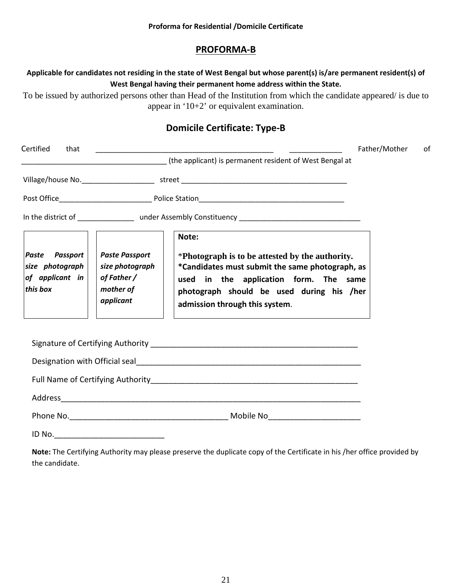#### **PROFORMA-B**

#### **Applicable for candidates not residing in the state of West Bengal but whose parent(s) is/are permanent resident(s) of West Bengal having their permanent home address within the State.**

To be issued by authorized persons other than Head of the Institution from which the candidate appeared/ is due to appear in '10+2' or equivalent examination.

### **Domicile Certificate: Type-B**

| Certified<br>that                                                |                                                                                   |                                                                                                                                                                                                                             | Father/Mother | 0f |
|------------------------------------------------------------------|-----------------------------------------------------------------------------------|-----------------------------------------------------------------------------------------------------------------------------------------------------------------------------------------------------------------------------|---------------|----|
|                                                                  |                                                                                   | (the applicant) is permanent resident of West Bengal at                                                                                                                                                                     |               |    |
|                                                                  |                                                                                   |                                                                                                                                                                                                                             |               |    |
|                                                                  |                                                                                   |                                                                                                                                                                                                                             |               |    |
|                                                                  |                                                                                   |                                                                                                                                                                                                                             |               |    |
|                                                                  |                                                                                   | Note:                                                                                                                                                                                                                       |               |    |
| Paste Passport<br>size photograph<br>of applicant in<br>this box | <b>Paste Passport</b><br>size photograph<br>of Father /<br>mother of<br>applicant | *Photograph is to be attested by the authority.<br>*Candidates must submit the same photograph, as<br>used in the application form. The same<br>photograph should be used during his /her<br>admission through this system. |               |    |
|                                                                  |                                                                                   |                                                                                                                                                                                                                             |               |    |
|                                                                  |                                                                                   |                                                                                                                                                                                                                             |               |    |
|                                                                  |                                                                                   |                                                                                                                                                                                                                             |               |    |
|                                                                  |                                                                                   |                                                                                                                                                                                                                             |               |    |
|                                                                  |                                                                                   |                                                                                                                                                                                                                             |               |    |
|                                                                  |                                                                                   |                                                                                                                                                                                                                             |               |    |

**Note:** The Certifying Authority may please preserve the duplicate copy of the Certificate in his /her office provided by the candidate.